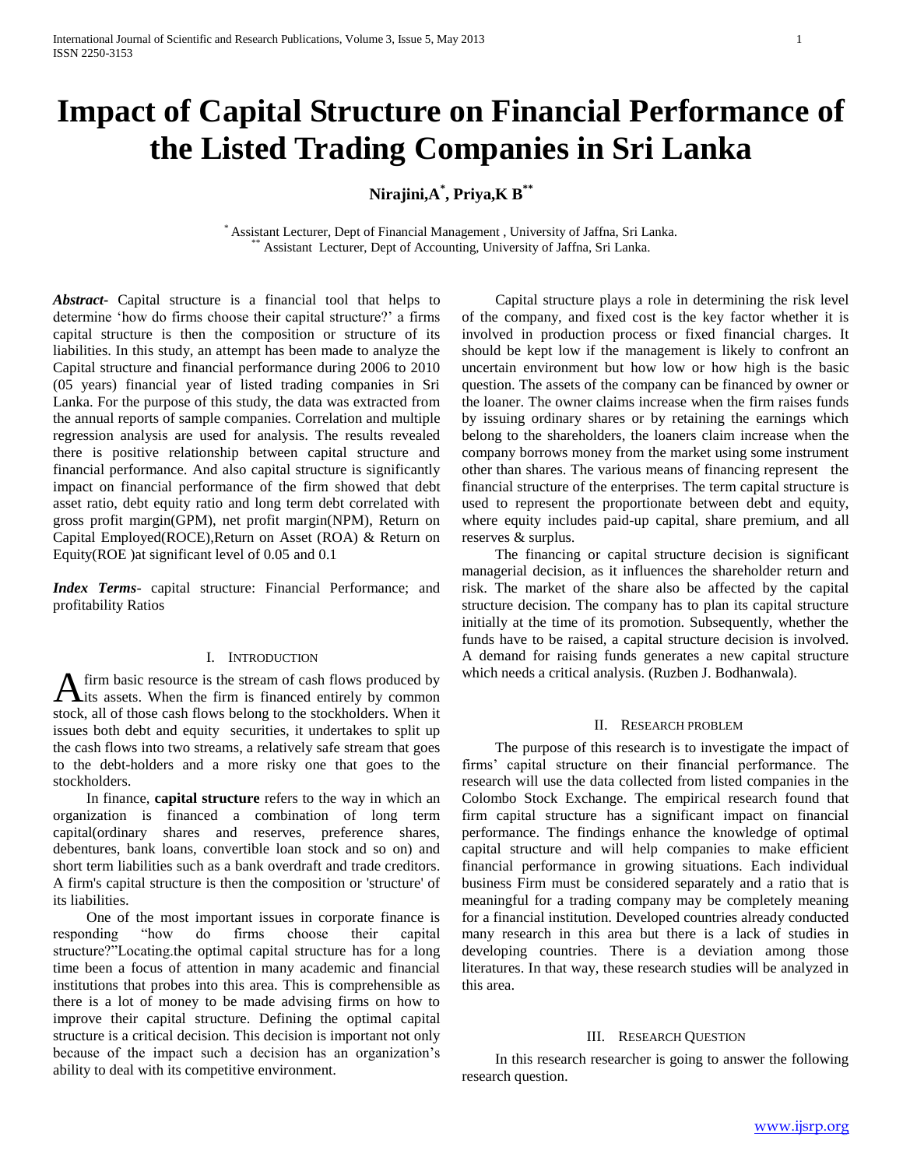# **Impact of Capital Structure on Financial Performance of the Listed Trading Companies in Sri Lanka**

**Nirajini,A\* , Priya,K B\*\***

\* Assistant Lecturer, Dept of Financial Management , University of Jaffna, Sri Lanka. Assistant Lecturer, Dept of Accounting, University of Jaffna, Sri Lanka.

*Abstract***-** Capital structure is a financial tool that helps to determine 'how do firms choose their capital structure?' a firms capital structure is then the composition or structure of its liabilities. In this study, an attempt has been made to analyze the Capital structure and financial performance during 2006 to 2010 (05 years) financial year of listed trading companies in Sri Lanka. For the purpose of this study, the data was extracted from the annual reports of sample companies. Correlation and multiple regression analysis are used for analysis. The results revealed there is positive relationship between capital structure and financial performance. And also capital structure is significantly impact on financial performance of the firm showed that debt asset ratio, debt equity ratio and long term debt correlated with gross profit margin(GPM), net profit margin(NPM), Return on Capital Employed(ROCE),Return on Asset (ROA) & Return on Equity(ROE )at significant level of 0.05 and 0.1

*Index Terms*- capital structure: Financial Performance; and profitability Ratios

# I. INTRODUCTION

firm basic resource is the stream of cash flows produced by A firm basic resource is the stream of cash flows produced by<br>
its assets. When the firm is financed entirely by common stock, all of those cash flows belong to the stockholders. When it issues both debt and equity securities, it undertakes to split up the cash flows into two streams, a relatively safe stream that goes to the debt-holders and a more risky one that goes to the stockholders.

 In finance, **capital structure** refers to the way in which an organization is financed a combination of long term capital(ordinary shares and reserves, preference shares, debentures, bank loans, convertible loan stock and so on) and short term liabilities such as a bank overdraft and trade creditors. A firm's capital structure is then the composition or 'structure' of its liabilities.

 One of the most important issues in corporate finance is responding "how do firms choose their capital structure?"Locating.the optimal capital structure has for a long time been a focus of attention in many academic and financial institutions that probes into this area. This is comprehensible as there is a lot of money to be made advising firms on how to improve their capital structure. Defining the optimal capital structure is a critical decision. This decision is important not only because of the impact such a decision has an organization's ability to deal with its competitive environment.

 Capital structure plays a role in determining the risk level of the company, and fixed cost is the key factor whether it is involved in production process or fixed financial charges. It should be kept low if the management is likely to confront an uncertain environment but how low or how high is the basic question. The assets of the company can be financed by owner or the loaner. The owner claims increase when the firm raises funds by issuing ordinary shares or by retaining the earnings which belong to the shareholders, the loaners claim increase when the company borrows money from the market using some instrument other than shares. The various means of financing represent the financial structure of the enterprises. The term capital structure is used to represent the proportionate between debt and equity, where equity includes paid-up capital, share premium, and all reserves & surplus.

 The financing or capital structure decision is significant managerial decision, as it influences the shareholder return and risk. The market of the share also be affected by the capital structure decision. The company has to plan its capital structure initially at the time of its promotion. Subsequently, whether the funds have to be raised, a capital structure decision is involved. A demand for raising funds generates a new capital structure which needs a critical analysis. (Ruzben J. Bodhanwala).

## II. RESEARCH PROBLEM

 The purpose of this research is to investigate the impact of firms' capital structure on their financial performance. The research will use the data collected from listed companies in the Colombo Stock Exchange. The empirical research found that firm capital structure has a significant impact on financial performance. The findings enhance the knowledge of optimal capital structure and will help companies to make efficient financial performance in growing situations. Each individual business Firm must be considered separately and a ratio that is meaningful for a trading company may be completely meaning for a financial institution. Developed countries already conducted many research in this area but there is a lack of studies in developing countries. There is a deviation among those literatures. In that way, these research studies will be analyzed in this area.

## III. RESEARCH QUESTION

 In this research researcher is going to answer the following research question.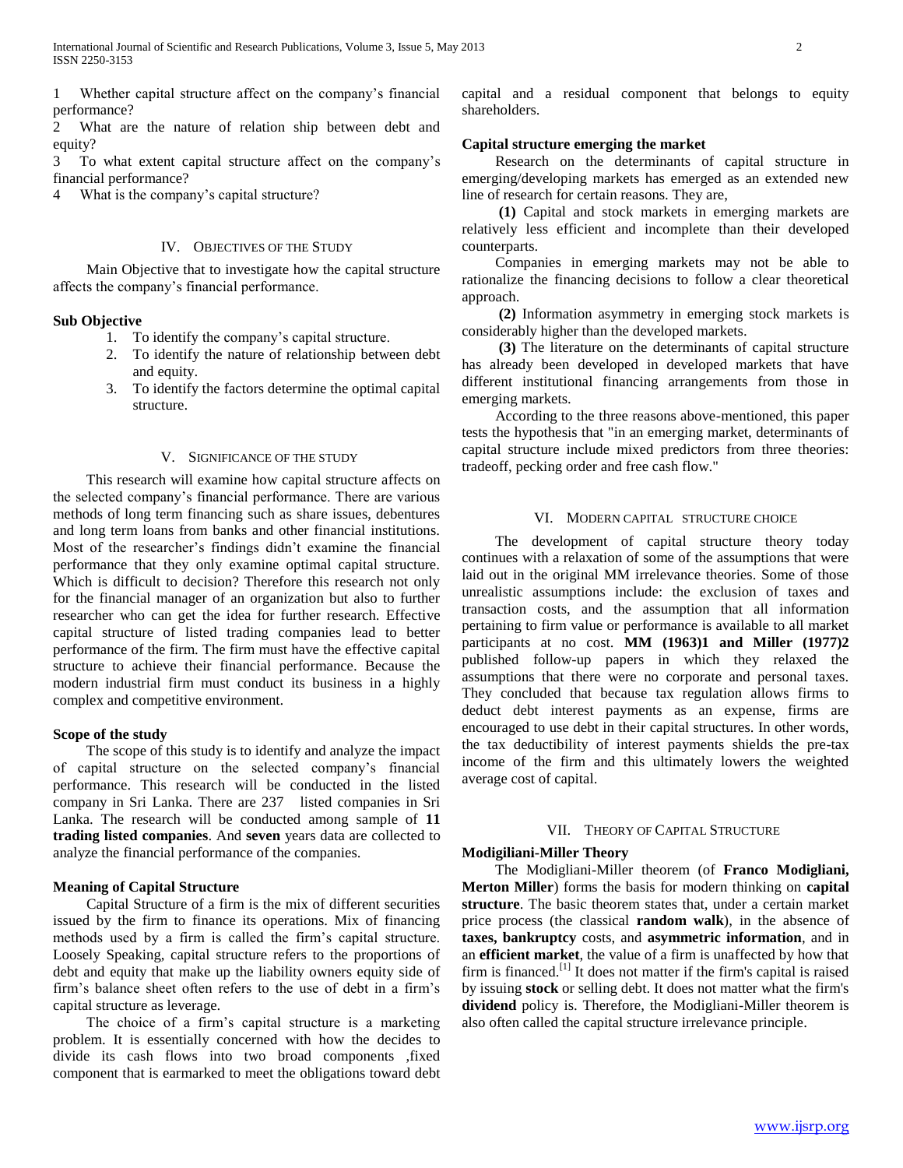1 Whether capital structure affect on the company's financial performance?

2 What are the nature of relation ship between debt and equity?

3 To what extent capital structure affect on the company's financial performance?

4 What is the company's capital structure?

# IV. OBJECTIVES OF THE STUDY

 Main Objective that to investigate how the capital structure affects the company's financial performance.

# **Sub Objective**

- 1. To identify the company's capital structure.
- 2. To identify the nature of relationship between debt and equity.
- 3. To identify the factors determine the optimal capital structure.

## V. SIGNIFICANCE OF THE STUDY

 This research will examine how capital structure affects on the selected company's financial performance. There are various methods of long term financing such as share issues, debentures and long term loans from banks and other financial institutions. Most of the researcher's findings didn't examine the financial performance that they only examine optimal capital structure. Which is difficult to decision? Therefore this research not only for the financial manager of an organization but also to further researcher who can get the idea for further research. Effective capital structure of listed trading companies lead to better performance of the firm. The firm must have the effective capital structure to achieve their financial performance. Because the modern industrial firm must conduct its business in a highly complex and competitive environment.

### **Scope of the study**

 The scope of this study is to identify and analyze the impact of capital structure on the selected company's financial performance. This research will be conducted in the listed company in Sri Lanka. There are 237 listed companies in Sri Lanka. The research will be conducted among sample of **11 trading listed companies**. And **seven** years data are collected to analyze the financial performance of the companies.

#### **Meaning of Capital Structure**

 Capital Structure of a firm is the mix of different securities issued by the firm to finance its operations. Mix of financing methods used by a firm is called the firm's capital structure. Loosely Speaking, capital structure refers to the proportions of debt and equity that make up the liability owners equity side of firm's balance sheet often refers to the use of debt in a firm's capital structure as leverage.

 The choice of a firm's capital structure is a marketing problem. It is essentially concerned with how the decides to divide its cash flows into two broad components ,fixed component that is earmarked to meet the obligations toward debt capital and a residual component that belongs to equity shareholders.

# **Capital structure emerging the market**

 Research on the determinants of capital structure in emerging/developing markets has emerged as an extended new line of research for certain reasons. They are,

 **(1)** Capital and stock markets in emerging markets are relatively less efficient and incomplete than their developed counterparts.

 Companies in emerging markets may not be able to rationalize the financing decisions to follow a clear theoretical approach.

 **(2)** Information asymmetry in emerging stock markets is considerably higher than the developed markets.

 **(3)** The literature on the determinants of capital structure has already been developed in developed markets that have different institutional financing arrangements from those in emerging markets.

 According to the three reasons above-mentioned, this paper tests the hypothesis that "in an emerging market, determinants of capital structure include mixed predictors from three theories: tradeoff, pecking order and free cash flow."

## VI. MODERN CAPITAL STRUCTURE CHOICE

 The development of capital structure theory today continues with a relaxation of some of the assumptions that were laid out in the original MM irrelevance theories. Some of those unrealistic assumptions include: the exclusion of taxes and transaction costs, and the assumption that all information pertaining to firm value or performance is available to all market participants at no cost. **MM (1963)1 and Miller (1977)2** published follow-up papers in which they relaxed the assumptions that there were no corporate and personal taxes. They concluded that because tax regulation allows firms to deduct debt interest payments as an expense, firms are encouraged to use debt in their capital structures. In other words, the tax deductibility of interest payments shields the pre-tax income of the firm and this ultimately lowers the weighted average cost of capital.

#### VII. THEORY OF CAPITAL STRUCTURE

# **Modigiliani-Miller Theory**

 The Modigliani-Miller theorem (of **Franco Modigliani, Merton Miller**) forms the basis for modern thinking on **capital structure**. The basic theorem states that, under a certain market price process (the classical **random walk**), in the absence of **taxes, bankruptcy** costs, and **asymmetric information**, and in an **efficient market**, the value of a firm is unaffected by how that firm is financed.<sup>[1]</sup> It does not matter if the firm's capital is raised by issuing **stock** or selling debt. It does not matter what the firm's **dividend** policy is. Therefore, the Modigliani-Miller theorem is also often called the capital structure irrelevance principle.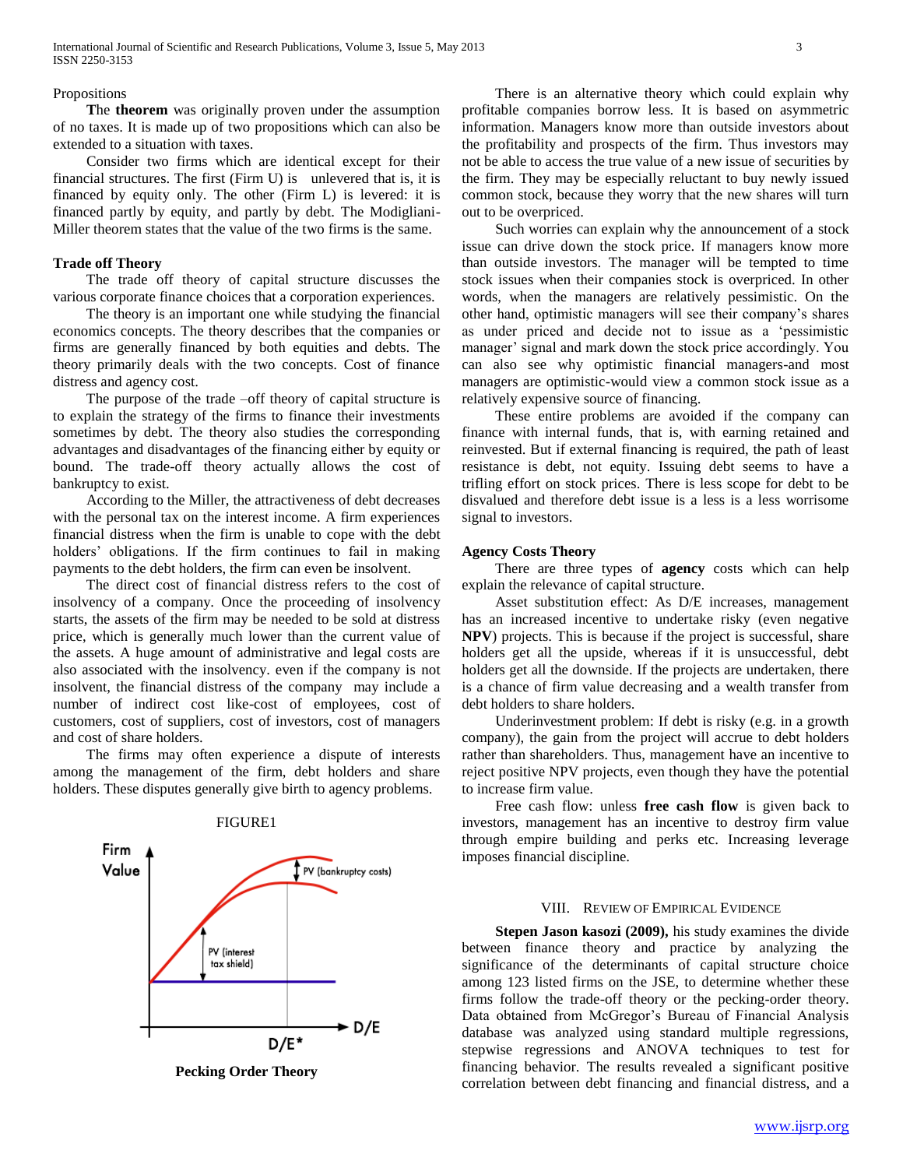#### **Propositions**

 **T**he **theorem** was originally proven under the assumption of no taxes. It is made up of two propositions which can also be extended to a situation with taxes.

 Consider two firms which are identical except for their financial structures. The first (Firm U) is unlevered that is, it is financed by equity only. The other (Firm L) is levered: it is financed partly by equity, and partly by debt. The Modigliani-Miller theorem states that the value of the two firms is the same.

### **Trade off Theory**

 The trade off theory of capital structure discusses the various corporate finance choices that a corporation experiences.

 The theory is an important one while studying the financial economics concepts. The theory describes that the companies or firms are generally financed by both equities and debts. The theory primarily deals with the two concepts. Cost of finance distress and agency cost.

 The purpose of the trade –off theory of capital structure is to explain the strategy of the firms to finance their investments sometimes by debt. The theory also studies the corresponding advantages and disadvantages of the financing either by equity or bound. The trade-off theory actually allows the cost of bankruptcy to exist.

 According to the Miller, the attractiveness of debt decreases with the personal tax on the interest income. A firm experiences financial distress when the firm is unable to cope with the debt holders' obligations. If the firm continues to fail in making payments to the debt holders, the firm can even be insolvent.

 The direct cost of financial distress refers to the cost of insolvency of a company. Once the proceeding of insolvency starts, the assets of the firm may be needed to be sold at distress price, which is generally much lower than the current value of the assets. A huge amount of administrative and legal costs are also associated with the insolvency. even if the company is not insolvent, the financial distress of the company may include a number of indirect cost like-cost of employees, cost of customers, cost of suppliers, cost of investors, cost of managers and cost of share holders.

 The firms may often experience a dispute of interests among the management of the firm, debt holders and share holders. These disputes generally give birth to agency problems.



FIGURE1

**Pecking Order Theory**

 There is an alternative theory which could explain why profitable companies borrow less. It is based on asymmetric information. Managers know more than outside investors about the profitability and prospects of the firm. Thus investors may not be able to access the true value of a new issue of securities by the firm. They may be especially reluctant to buy newly issued common stock, because they worry that the new shares will turn out to be overpriced.

 Such worries can explain why the announcement of a stock issue can drive down the stock price. If managers know more than outside investors. The manager will be tempted to time stock issues when their companies stock is overpriced. In other words, when the managers are relatively pessimistic. On the other hand, optimistic managers will see their company's shares as under priced and decide not to issue as a 'pessimistic manager' signal and mark down the stock price accordingly. You can also see why optimistic financial managers-and most managers are optimistic-would view a common stock issue as a relatively expensive source of financing.

 These entire problems are avoided if the company can finance with internal funds, that is, with earning retained and reinvested. But if external financing is required, the path of least resistance is debt, not equity. Issuing debt seems to have a trifling effort on stock prices. There is less scope for debt to be disvalued and therefore debt issue is a less is a less worrisome signal to investors.

#### **Agency Costs Theory**

 There are three types of **agency** costs which can help explain the relevance of capital structure.

 Asset substitution effect: As D/E increases, management has an increased incentive to undertake risky (even negative **NPV**) projects. This is because if the project is successful, share holders get all the upside, whereas if it is unsuccessful, debt holders get all the downside. If the projects are undertaken, there is a chance of firm value decreasing and a wealth transfer from debt holders to share holders.

 Underinvestment problem: If debt is risky (e.g. in a growth company), the gain from the project will accrue to debt holders rather than shareholders. Thus, management have an incentive to reject positive NPV projects, even though they have the potential to increase firm value.

 Free cash flow: unless **free cash flow** is given back to investors, management has an incentive to destroy firm value through empire building and perks etc. Increasing leverage imposes financial discipline.

#### VIII. REVIEW OF EMPIRICAL EVIDENCE

 **Stepen Jason kasozi (2009),** his study examines the divide between finance theory and practice by analyzing the significance of the determinants of capital structure choice among 123 listed firms on the JSE, to determine whether these firms follow the trade-off theory or the pecking-order theory. Data obtained from McGregor's Bureau of Financial Analysis database was analyzed using standard multiple regressions, stepwise regressions and ANOVA techniques to test for financing behavior. The results revealed a significant positive correlation between debt financing and financial distress, and a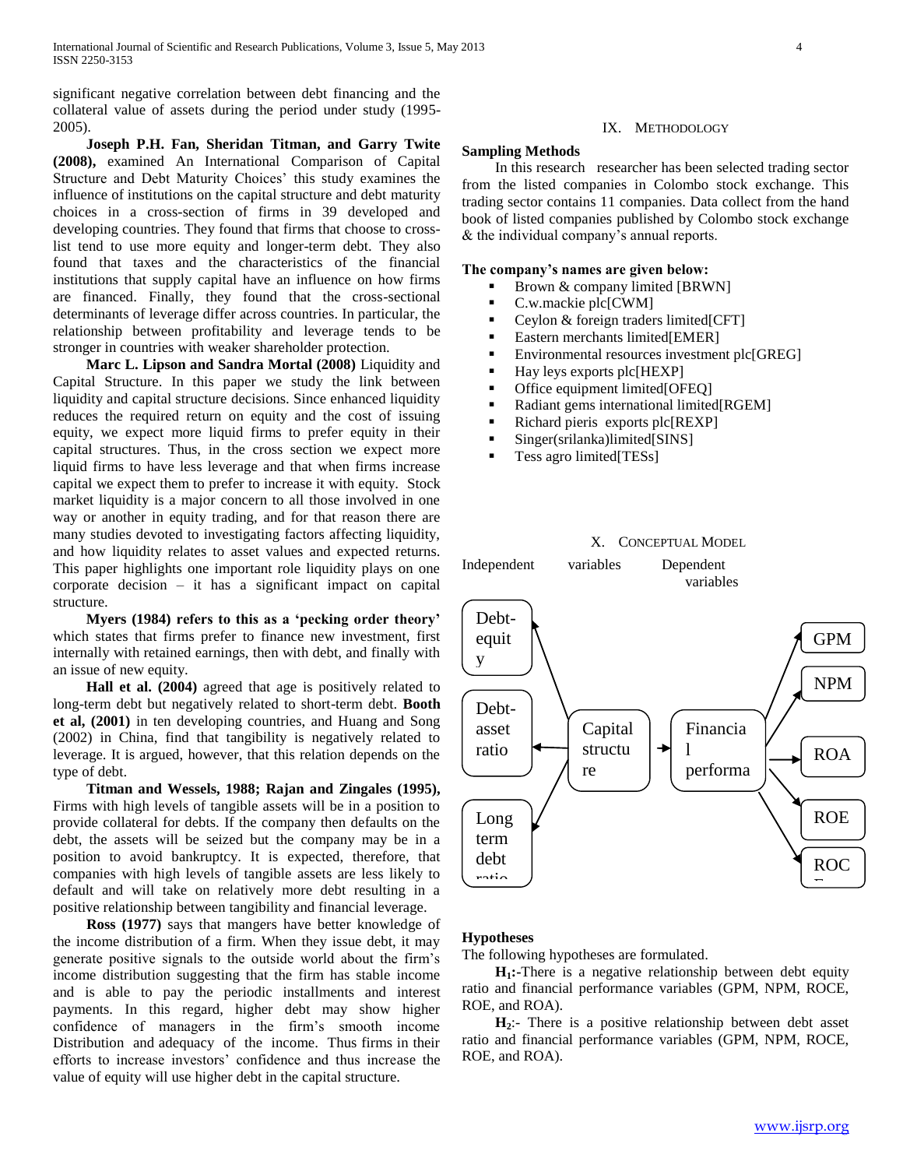significant negative correlation between debt financing and the collateral value of assets during the period under study (1995- 2005).

 **Joseph P.H. Fan, Sheridan Titman, and Garry Twite (2008),** examined An International Comparison of Capital Structure and Debt Maturity Choices' this study examines the influence of institutions on the capital structure and debt maturity choices in a cross-section of firms in 39 developed and developing countries. They found that firms that choose to crosslist tend to use more equity and longer-term debt. They also found that taxes and the characteristics of the financial institutions that supply capital have an influence on how firms are financed. Finally, they found that the cross-sectional determinants of leverage differ across countries. In particular, the relationship between profitability and leverage tends to be stronger in countries with weaker shareholder protection.

 **Marc L. Lipson and Sandra Mortal (2008)** Liquidity and Capital Structure. In this paper we study the link between liquidity and capital structure decisions. Since enhanced liquidity reduces the required return on equity and the cost of issuing equity, we expect more liquid firms to prefer equity in their capital structures. Thus, in the cross section we expect more liquid firms to have less leverage and that when firms increase capital we expect them to prefer to increase it with equity. Stock market liquidity is a major concern to all those involved in one way or another in equity trading, and for that reason there are many studies devoted to investigating factors affecting liquidity, and how liquidity relates to asset values and expected returns. This paper highlights one important role liquidity plays on one corporate decision – it has a significant impact on capital structure.

 **Myers (1984) refers to this as a 'pecking order theory'** which states that firms prefer to finance new investment, first internally with retained earnings, then with debt, and finally with an issue of new equity.

 **Hall et al. (2004)** agreed that age is positively related to long-term debt but negatively related to short-term debt. **Booth et al, (2001)** in ten developing countries, and Huang and Song (2002) in China, find that tangibility is negatively related to leverage. It is argued, however, that this relation depends on the type of debt.

 **Titman and Wessels, 1988; Rajan and Zingales (1995),**  Firms with high levels of tangible assets will be in a position to provide collateral for debts. If the company then defaults on the debt, the assets will be seized but the company may be in a position to avoid bankruptcy. It is expected, therefore, that companies with high levels of tangible assets are less likely to default and will take on relatively more debt resulting in a positive relationship between tangibility and financial leverage.

 **Ross (1977)** says that mangers have better knowledge of the income distribution of a firm. When they issue debt, it may generate positive signals to the outside world about the firm's income distribution suggesting that the firm has stable income and is able to pay the periodic installments and interest payments. In this regard, higher debt may show higher confidence of managers in the firm's smooth income Distribution and adequacy of the income. Thus firms in their efforts to increase investors' confidence and thus increase the value of equity will use higher debt in the capital structure.

# IX. METHODOLOGY

#### **Sampling Methods**

 In this research researcher has been selected trading sector from the listed companies in Colombo stock exchange. This trading sector contains 11 companies. Data collect from the hand book of listed companies published by Colombo stock exchange & the individual company's annual reports.

# **The company's names are given below:**

- Brown & company limited [BRWN]
- C.w.mackie plc[CWM]
- Ceylon & foreign traders limited[CFT]
- **Eastern merchants limited[EMER]**
- Environmental resources investment plc[GREG]
- Hay leys exports plc[HEXP]
- Office equipment limited [OFEQ]
- Radiant gems international limited[RGEM]
- Richard pieris exports plc[REXP]
- Singer(srilanka)limited[SINS]
- Tess agro limited[TESs]





## **Hypotheses**

The following hypotheses are formulated.

 **H1:-**There is a negative relationship between debt equity ratio and financial performance variables (GPM, NPM, ROCE, ROE, and ROA).

 **H2**:- There is a positive relationship between debt asset ratio and financial performance variables (GPM, NPM, ROCE, ROE, and ROA).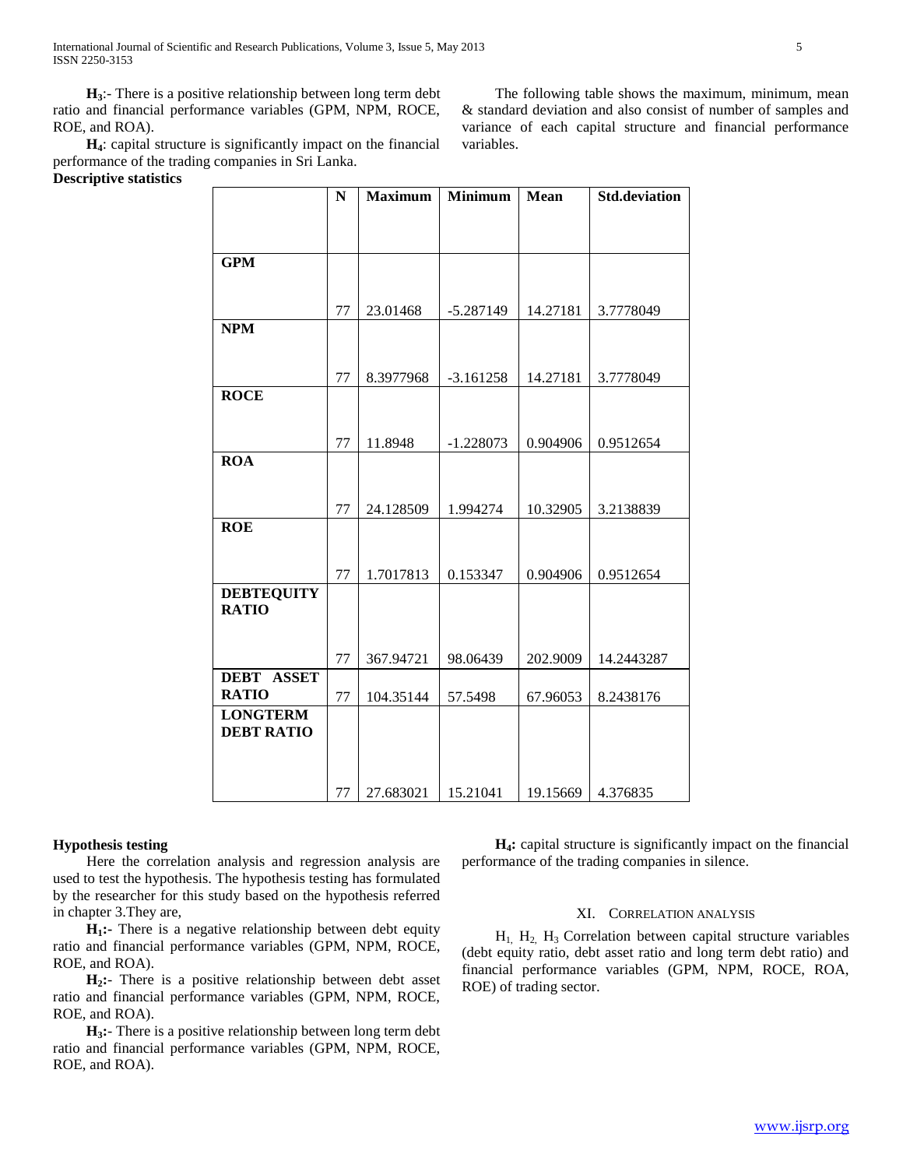International Journal of Scientific and Research Publications, Volume 3, Issue 5, May 2013 5 ISSN 2250-3153

 **H3**:- There is a positive relationship between long term debt ratio and financial performance variables (GPM, NPM, ROCE, ROE, and ROA).

 **H4**: capital structure is significantly impact on the financial performance of the trading companies in Sri Lanka. **Descriptive statistics**

 The following table shows the maximum, minimum, mean & standard deviation and also consist of number of samples and variance of each capital structure and financial performance variables.

|                                   | $\mathbf N$ | <b>Maximum</b> | <b>Minimum</b> | <b>Mean</b> | <b>Std.deviation</b> |
|-----------------------------------|-------------|----------------|----------------|-------------|----------------------|
|                                   |             |                |                |             |                      |
|                                   |             |                |                |             |                      |
| <b>GPM</b>                        |             |                |                |             |                      |
|                                   |             |                |                |             |                      |
|                                   | 77          | 23.01468       | $-5.287149$    | 14.27181    | 3.7778049            |
| <b>NPM</b>                        |             |                |                |             |                      |
|                                   |             |                |                |             |                      |
|                                   | 77          | 8.3977968      | $-3.161258$    | 14.27181    | 3.7778049            |
| <b>ROCE</b>                       |             |                |                |             |                      |
|                                   |             |                |                |             |                      |
|                                   | 77          | 11.8948        | $-1.228073$    | 0.904906    | 0.9512654            |
| <b>ROA</b>                        |             |                |                |             |                      |
|                                   |             |                |                |             |                      |
|                                   | 77          | 24.128509      | 1.994274       | 10.32905    | 3.2138839            |
| <b>ROE</b>                        |             |                |                |             |                      |
|                                   |             |                |                |             |                      |
|                                   | 77          | 1.7017813      | 0.153347       | 0.904906    | 0.9512654            |
| <b>DEBTEQUITY</b>                 |             |                |                |             |                      |
| <b>RATIO</b>                      |             |                |                |             |                      |
|                                   |             |                |                |             |                      |
|                                   | 77          | 367.94721      | 98.06439       | 202.9009    | 14.2443287           |
| <b>DEBT ASSET</b><br><b>RATIO</b> |             |                |                |             |                      |
| <b>LONGTERM</b>                   | 77          | 104.35144      | 57.5498        | 67.96053    | 8.2438176            |
| <b>DEBT RATIO</b>                 |             |                |                |             |                      |
|                                   |             |                |                |             |                      |
|                                   |             |                |                |             |                      |
|                                   | 77          | 27.683021      | 15.21041       | 19.15669    | 4.376835             |

#### **Hypothesis testing**

 Here the correlation analysis and regression analysis are used to test the hypothesis. The hypothesis testing has formulated by the researcher for this study based on the hypothesis referred in chapter 3.They are,

 **H1:-** There is a negative relationship between debt equity ratio and financial performance variables (GPM, NPM, ROCE, ROE, and ROA).

 **H2:**- There is a positive relationship between debt asset ratio and financial performance variables (GPM, NPM, ROCE, ROE, and ROA).

 **H3:**- There is a positive relationship between long term debt ratio and financial performance variables (GPM, NPM, ROCE, ROE, and ROA).

 **H4:** capital structure is significantly impact on the financial performance of the trading companies in silence.

#### XI. CORRELATION ANALYSIS

 $H_1$ ,  $H_2$ ,  $H_3$  Correlation between capital structure variables (debt equity ratio, debt asset ratio and long term debt ratio) and financial performance variables (GPM, NPM, ROCE, ROA, ROE) of trading sector.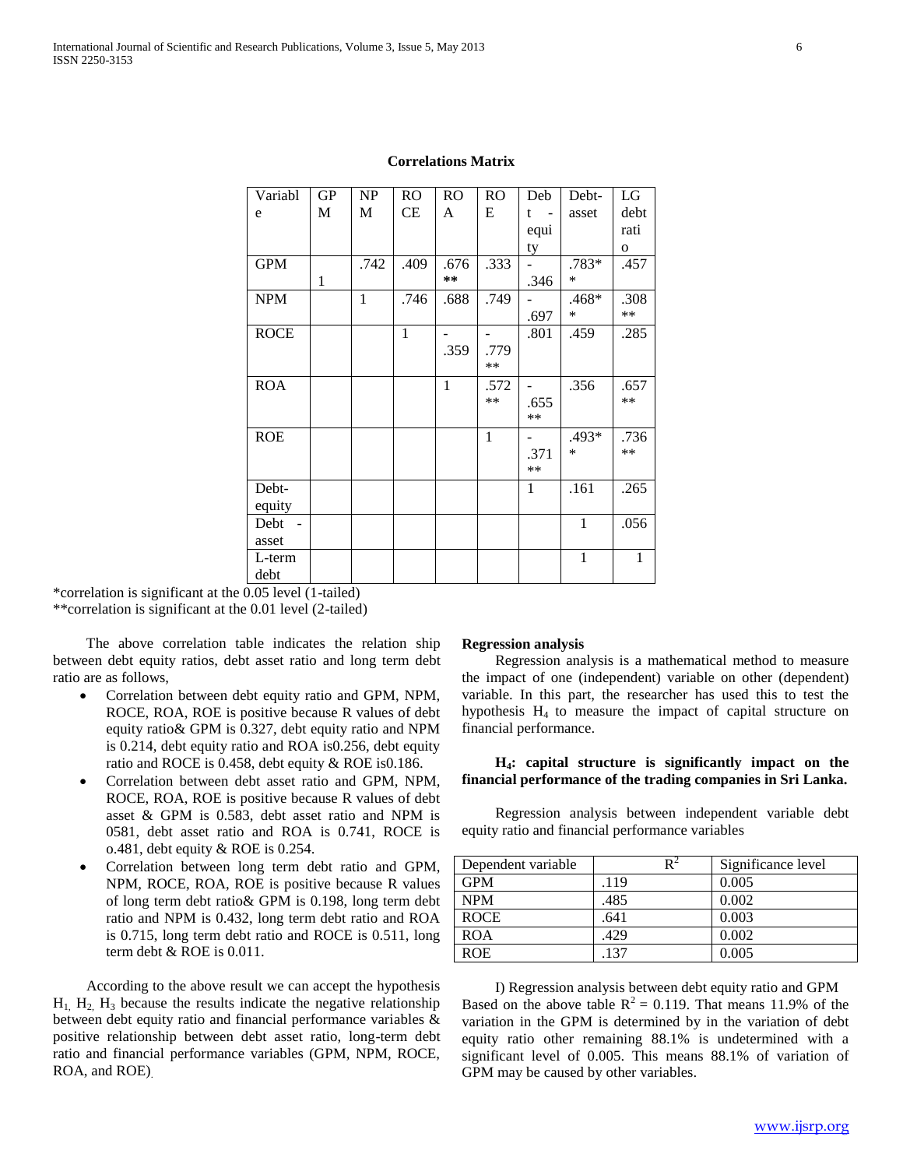| Variabl     | GP           | NP           | RO   | RO           | R <sub>O</sub> | Deb   | Debt-        | LG           |
|-------------|--------------|--------------|------|--------------|----------------|-------|--------------|--------------|
| e           | M            | М            | CE   | A            | Ε              | t.    | asset        | debt         |
|             |              |              |      |              |                | equi  |              | rati         |
|             |              |              |      |              |                | ty    |              | $\mathbf{o}$ |
| <b>GPM</b>  |              | .742         | .409 | .676         | .333           |       | .783*        | .457         |
|             | $\mathbf{1}$ |              |      | **           |                | .346  | $\ast$       |              |
| <b>NPM</b>  |              | $\mathbf{1}$ | .746 | .688         | .749           |       | .468*        | .308         |
|             |              |              |      |              |                | .697  | $\ast$       | $**$         |
| <b>ROCE</b> |              |              | 1    |              |                | .801  | .459         | .285         |
|             |              |              |      | .359         | .779           |       |              |              |
|             |              |              |      |              | $**$           |       |              |              |
| <b>ROA</b>  |              |              |      | $\mathbf{1}$ | .572           |       | .356         | .657         |
|             |              |              |      |              | $**$           | .655  |              | $**$         |
|             |              |              |      |              |                | $***$ |              |              |
| <b>ROE</b>  |              |              |      |              | $\mathbf{1}$   |       | $.493*$      | .736         |
|             |              |              |      |              |                | .371  | *            | **           |
|             |              |              |      |              |                | $**$  |              |              |
| Debt-       |              |              |      |              |                | 1     | .161         | .265         |
| equity      |              |              |      |              |                |       |              |              |
| Debt        |              |              |      |              |                |       | $\mathbf{1}$ | .056         |
| asset       |              |              |      |              |                |       |              |              |
| L-term      |              |              |      |              |                |       | 1            | $\mathbf{1}$ |
| debt        |              |              |      |              |                |       |              |              |

# **Correlations Matrix**

\*correlation is significant at the 0.05 level (1-tailed)

\*\*correlation is significant at the 0.01 level (2-tailed)

 The above correlation table indicates the relation ship between debt equity ratios, debt asset ratio and long term debt ratio are as follows,

- Correlation between debt equity ratio and GPM, NPM, ROCE, ROA, ROE is positive because R values of debt equity ratio& GPM is 0.327, debt equity ratio and NPM is 0.214, debt equity ratio and ROA is0.256, debt equity ratio and ROCE is 0.458, debt equity & ROE is0.186.
- Correlation between debt asset ratio and GPM, NPM, ROCE, ROA, ROE is positive because R values of debt asset & GPM is 0.583, debt asset ratio and NPM is 0581, debt asset ratio and ROA is 0.741, ROCE is o.481, debt equity & ROE is 0.254.
- Correlation between long term debt ratio and GPM, NPM, ROCE, ROA, ROE is positive because R values of long term debt ratio& GPM is 0.198, long term debt ratio and NPM is 0.432, long term debt ratio and ROA is 0.715, long term debt ratio and ROCE is 0.511, long term debt & ROE is 0.011.

 According to the above result we can accept the hypothesis  $H_1$ ,  $H_2$ ,  $H_3$  because the results indicate the negative relationship between debt equity ratio and financial performance variables & positive relationship between debt asset ratio, long-term debt ratio and financial performance variables (GPM, NPM, ROCE, ROA, and ROE).

#### **Regression analysis**

 Regression analysis is a mathematical method to measure the impact of one (independent) variable on other (dependent) variable. In this part, the researcher has used this to test the hypothesis H4 to measure the impact of capital structure on financial performance.

# **H4: capital structure is significantly impact on the financial performance of the trading companies in Sri Lanka.**

 Regression analysis between independent variable debt equity ratio and financial performance variables

| Dependent variable | R٠   | Significance level |
|--------------------|------|--------------------|
| <b>GPM</b>         | .119 | 0.005              |
| <b>NPM</b>         | .485 | 0.002              |
| <b>ROCE</b>        | .641 | 0.003              |
| <b>ROA</b>         | .429 | 0.002              |
| <b>ROE</b>         | 137  | 0.005              |

 I) Regression analysis between debt equity ratio and GPM Based on the above table  $R^2 = 0.119$ . That means 11.9% of the variation in the GPM is determined by in the variation of debt equity ratio other remaining 88.1% is undetermined with a significant level of 0.005. This means 88.1% of variation of GPM may be caused by other variables.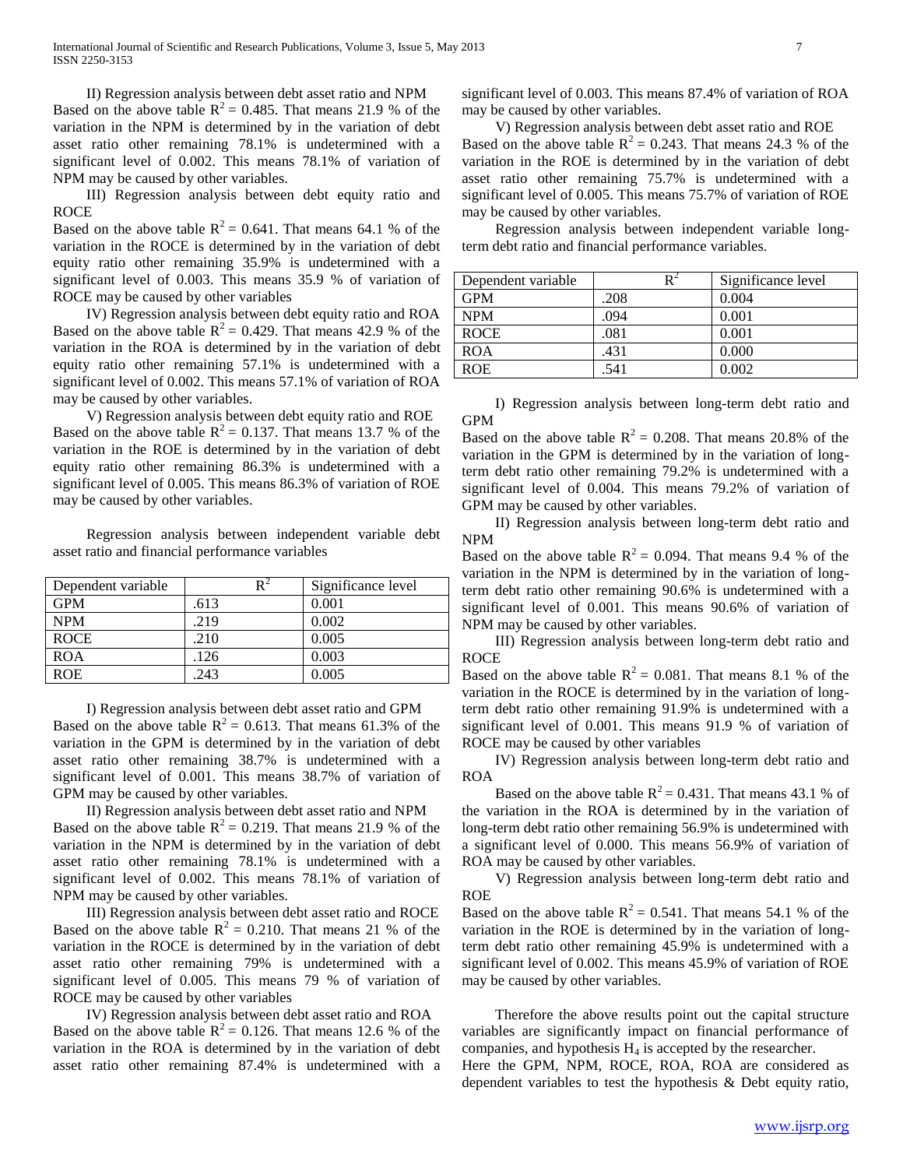II) Regression analysis between debt asset ratio and NPM Based on the above table  $R^2 = 0.485$ . That means 21.9 % of the variation in the NPM is determined by in the variation of debt asset ratio other remaining 78.1% is undetermined with a significant level of 0.002. This means 78.1% of variation of NPM may be caused by other variables.

 III) Regression analysis between debt equity ratio and ROCE

Based on the above table  $R^2 = 0.641$ . That means 64.1 % of the variation in the ROCE is determined by in the variation of debt equity ratio other remaining 35.9% is undetermined with a significant level of 0.003. This means 35.9 % of variation of ROCE may be caused by other variables

 IV) Regression analysis between debt equity ratio and ROA Based on the above table  $R^2 = 0.429$ . That means 42.9 % of the variation in the ROA is determined by in the variation of debt equity ratio other remaining 57.1% is undetermined with a significant level of 0.002. This means 57.1% of variation of ROA may be caused by other variables.

 V) Regression analysis between debt equity ratio and ROE Based on the above table  $R^2 = 0.137$ . That means 13.7 % of the variation in the ROE is determined by in the variation of debt equity ratio other remaining 86.3% is undetermined with a significant level of 0.005. This means 86.3% of variation of ROE may be caused by other variables.

 Regression analysis between independent variable debt asset ratio and financial performance variables

| Dependent variable | R٠   | Significance level |
|--------------------|------|--------------------|
| <b>GPM</b>         | .613 | 0.001              |
| <b>NPM</b>         | .219 | 0.002              |
| <b>ROCE</b>        | .210 | 0.005              |
| <b>ROA</b>         | .126 | 0.003              |
| <b>ROE</b>         | .243 | 0.005              |

 I) Regression analysis between debt asset ratio and GPM Based on the above table  $R^2 = 0.613$ . That means 61.3% of the variation in the GPM is determined by in the variation of debt asset ratio other remaining 38.7% is undetermined with a significant level of 0.001. This means 38.7% of variation of GPM may be caused by other variables.

 II) Regression analysis between debt asset ratio and NPM Based on the above table  $R^2 = 0.219$ . That means 21.9 % of the variation in the NPM is determined by in the variation of debt asset ratio other remaining 78.1% is undetermined with a significant level of 0.002. This means 78.1% of variation of NPM may be caused by other variables.

 III) Regression analysis between debt asset ratio and ROCE Based on the above table  $R^2 = 0.210$ . That means 21 % of the variation in the ROCE is determined by in the variation of debt asset ratio other remaining 79% is undetermined with a significant level of 0.005. This means 79 % of variation of ROCE may be caused by other variables

 IV) Regression analysis between debt asset ratio and ROA Based on the above table  $R^2 = 0.126$ . That means 12.6 % of the variation in the ROA is determined by in the variation of debt asset ratio other remaining 87.4% is undetermined with a

significant level of 0.003. This means 87.4% of variation of ROA may be caused by other variables.

 V) Regression analysis between debt asset ratio and ROE Based on the above table  $R^2 = 0.243$ . That means 24.3 % of the variation in the ROE is determined by in the variation of debt asset ratio other remaining 75.7% is undetermined with a significant level of 0.005. This means 75.7% of variation of ROE may be caused by other variables.

 Regression analysis between independent variable longterm debt ratio and financial performance variables.

| Dependent variable |      | Significance level |
|--------------------|------|--------------------|
| <b>GPM</b>         | .208 | 0.004              |
| <b>NPM</b>         | .094 | 0.001              |
| <b>ROCE</b>        | .081 | 0.001              |
| <b>ROA</b>         | .431 | 0.000              |
| <b>ROE</b>         | .541 | 0.002              |

 I) Regression analysis between long-term debt ratio and GPM

Based on the above table  $R^2 = 0.208$ . That means 20.8% of the variation in the GPM is determined by in the variation of longterm debt ratio other remaining 79.2% is undetermined with a significant level of 0.004. This means 79.2% of variation of GPM may be caused by other variables.

 II) Regression analysis between long-term debt ratio and NPM

Based on the above table  $R^2 = 0.094$ . That means 9.4 % of the variation in the NPM is determined by in the variation of longterm debt ratio other remaining 90.6% is undetermined with a significant level of 0.001. This means 90.6% of variation of NPM may be caused by other variables.

 III) Regression analysis between long-term debt ratio and ROCE

Based on the above table  $R^2 = 0.081$ . That means 8.1 % of the variation in the ROCE is determined by in the variation of longterm debt ratio other remaining 91.9% is undetermined with a significant level of 0.001. This means 91.9 % of variation of ROCE may be caused by other variables

 IV) Regression analysis between long-term debt ratio and ROA

Based on the above table  $R^2 = 0.431$ . That means 43.1 % of the variation in the ROA is determined by in the variation of long-term debt ratio other remaining 56.9% is undetermined with a significant level of 0.000. This means 56.9% of variation of ROA may be caused by other variables.

 V) Regression analysis between long-term debt ratio and ROE

Based on the above table  $R^2 = 0.541$ . That means 54.1 % of the variation in the ROE is determined by in the variation of longterm debt ratio other remaining 45.9% is undetermined with a significant level of 0.002. This means 45.9% of variation of ROE may be caused by other variables.

 Therefore the above results point out the capital structure variables are significantly impact on financial performance of companies, and hypothesis  $H_4$  is accepted by the researcher. Here the GPM, NPM, ROCE, ROA, ROA are considered as dependent variables to test the hypothesis & Debt equity ratio,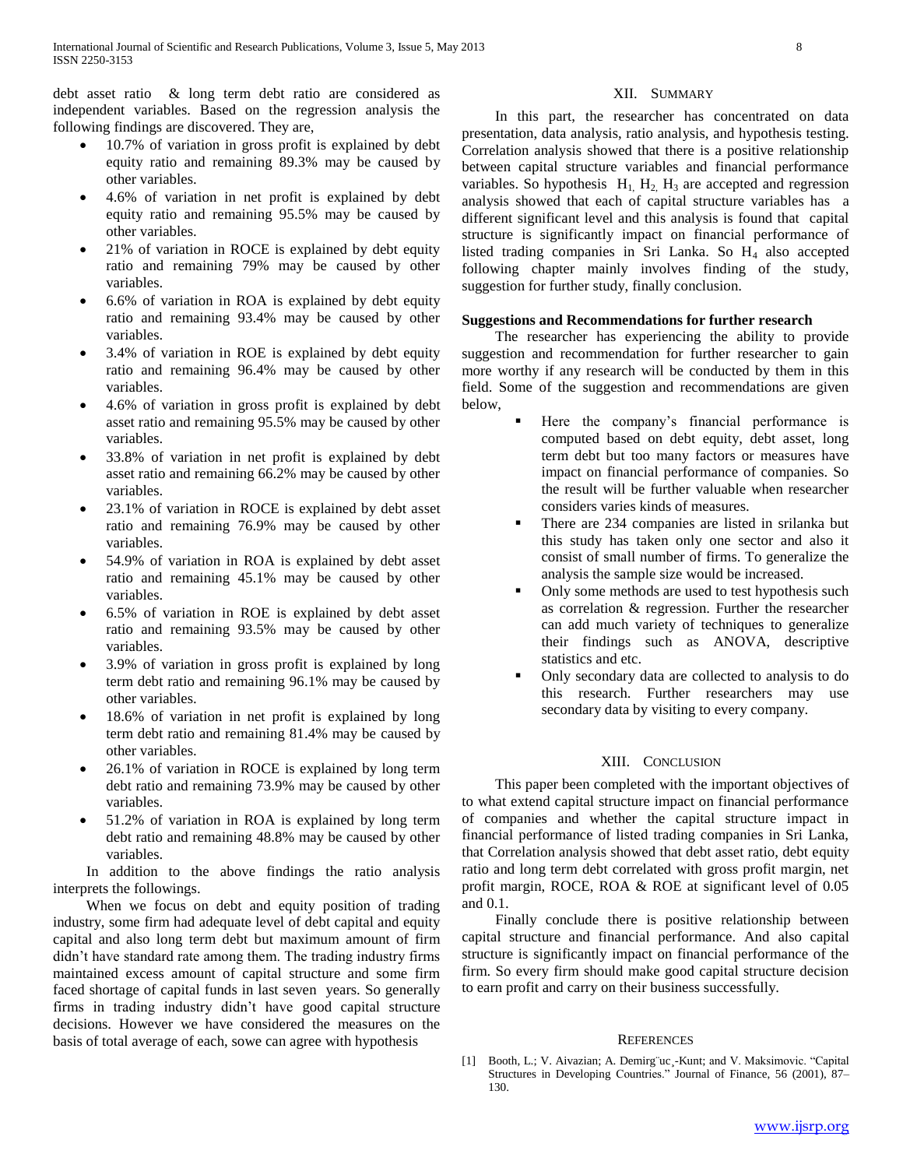debt asset ratio & long term debt ratio are considered as independent variables. Based on the regression analysis the following findings are discovered. They are,

- 10.7% of variation in gross profit is explained by debt equity ratio and remaining 89.3% may be caused by other variables.
- 4.6% of variation in net profit is explained by debt equity ratio and remaining 95.5% may be caused by other variables.
- 21% of variation in ROCE is explained by debt equity ratio and remaining 79% may be caused by other variables.
- 6.6% of variation in ROA is explained by debt equity ratio and remaining 93.4% may be caused by other variables.
- 3.4% of variation in ROE is explained by debt equity ratio and remaining 96.4% may be caused by other variables.
- 4.6% of variation in gross profit is explained by debt asset ratio and remaining 95.5% may be caused by other variables.
- 33.8% of variation in net profit is explained by debt asset ratio and remaining 66.2% may be caused by other variables.
- 23.1% of variation in ROCE is explained by debt asset ratio and remaining 76.9% may be caused by other variables.
- 54.9% of variation in ROA is explained by debt asset ratio and remaining 45.1% may be caused by other variables.
- 6.5% of variation in ROE is explained by debt asset ratio and remaining 93.5% may be caused by other variables.
- 3.9% of variation in gross profit is explained by long term debt ratio and remaining 96.1% may be caused by other variables.
- 18.6% of variation in net profit is explained by long term debt ratio and remaining 81.4% may be caused by other variables.
- 26.1% of variation in ROCE is explained by long term debt ratio and remaining 73.9% may be caused by other variables.
- 51.2% of variation in ROA is explained by long term debt ratio and remaining 48.8% may be caused by other variables.

 In addition to the above findings the ratio analysis interprets the followings.

 When we focus on debt and equity position of trading industry, some firm had adequate level of debt capital and equity capital and also long term debt but maximum amount of firm didn't have standard rate among them. The trading industry firms maintained excess amount of capital structure and some firm faced shortage of capital funds in last seven years. So generally firms in trading industry didn't have good capital structure decisions. However we have considered the measures on the basis of total average of each, sowe can agree with hypothesis

# XII. SUMMARY

 In this part, the researcher has concentrated on data presentation, data analysis, ratio analysis, and hypothesis testing. Correlation analysis showed that there is a positive relationship between capital structure variables and financial performance variables. So hypothesis  $H_1$ ,  $H_2$ ,  $H_3$  are accepted and regression analysis showed that each of capital structure variables has a different significant level and this analysis is found that capital structure is significantly impact on financial performance of listed trading companies in Sri Lanka. So  $H_4$  also accepted following chapter mainly involves finding of the study, suggestion for further study, finally conclusion.

# **Suggestions and Recommendations for further research**

 The researcher has experiencing the ability to provide suggestion and recommendation for further researcher to gain more worthy if any research will be conducted by them in this field. Some of the suggestion and recommendations are given below,

- Here the company's financial performance is computed based on debt equity, debt asset, long term debt but too many factors or measures have impact on financial performance of companies. So the result will be further valuable when researcher considers varies kinds of measures.
- There are 234 companies are listed in srilanka but this study has taken only one sector and also it consist of small number of firms. To generalize the analysis the sample size would be increased.
- Only some methods are used to test hypothesis such as correlation & regression. Further the researcher can add much variety of techniques to generalize their findings such as ANOVA, descriptive statistics and etc.
- Only secondary data are collected to analysis to do this research. Further researchers may use secondary data by visiting to every company.

# XIII. CONCLUSION

 This paper been completed with the important objectives of to what extend capital structure impact on financial performance of companies and whether the capital structure impact in financial performance of listed trading companies in Sri Lanka, that Correlation analysis showed that debt asset ratio, debt equity ratio and long term debt correlated with gross profit margin, net profit margin, ROCE, ROA & ROE at significant level of 0.05 and 0.1.

 Finally conclude there is positive relationship between capital structure and financial performance. And also capital structure is significantly impact on financial performance of the firm. So every firm should make good capital structure decision to earn profit and carry on their business successfully.

# **REFERENCES**

[1] Booth, L.; V. Aivazian; A. Demirg¨uc¸-Kunt; and V. Maksimovic. "Capital Structures in Developing Countries." Journal of Finance, 56 (2001), 87– 130.